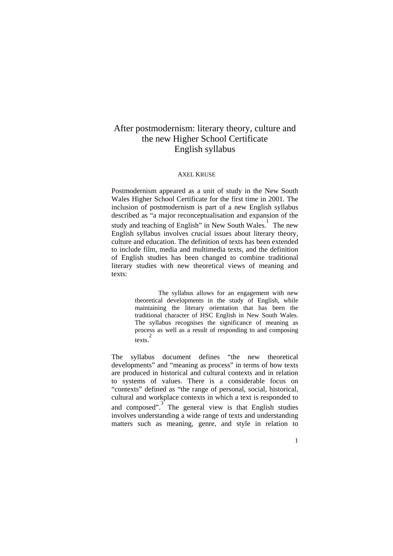# After postmodernism: literary theory, culture and the new Higher School Certificate English syllabus

#### AXEL KRUSE

Postmodernism appeared as a unit of study in the New South Wales Higher School Certificate for the first time in 2001. The inclusion of postmodernism is part of a new English syllabus described as "a major reconceptualisation and expansion of the study and teaching of English" in New South Wales.<sup>1</sup> The new English syllabus involves crucial issues about literary theory, culture and education. The definition of texts has been extended to include film, media and multimedia texts, and the definition of English studies has been changed to combine traditional literary studies with new theoretical views of meaning and texts:

> The syllabus allows for an engagement with new theoretical developments in the study of English, while maintaining the literary orientation that has been the traditional character of HSC English in New South Wales. The syllabus recognises the significance of meaning as process as well as a result of responding to and composing  $\frac{2}{\text{text}}$

The syllabus document defines "the new theoretical developments" and "meaning as process" in terms of how texts are produced in historical and cultural contexts and in relation to systems of values. There is a considerable focus on "contexts" defined as "the range of personal, social, historical, cultural and workplace contexts in which a text is responded to and composed".<sup>3</sup> The general view is that English studies involves understanding a wide range of texts and understanding matters such as meaning, genre, and style in relation to

1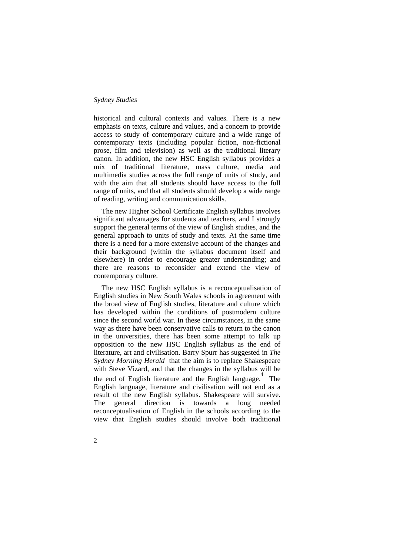#### *Sydney Studies*

historical and cultural contexts and values. There is a new emphasis on texts, culture and values, and a concern to provide access to study of contemporary culture and a wide range of contemporary texts (including popular fiction, non-fictional prose, film and television) as well as the traditional literary canon. In addition, the new HSC English syllabus provides a mix of traditional literature, mass culture, media and multimedia studies across the full range of units of study, and with the aim that all students should have access to the full range of units, and that all students should develop a wide range of reading, writing and communication skills.

The new Higher School Certificate English syllabus involves significant advantages for students and teachers, and I strongly support the general terms of the view of English studies, and the general approach to units of study and texts. At the same time there is a need for a more extensive account of the changes and their background (within the syllabus document itself and elsewhere) in order to encourage greater understanding; and there are reasons to reconsider and extend the view of contemporary culture.

The new HSC English syllabus is a reconceptualisation of English studies in New South Wales schools in agreement with the broad view of English studies, literature and culture which has developed within the conditions of postmodern culture since the second world war. In these circumstances, in the same way as there have been conservative calls to return to the canon in the universities, there has been some attempt to talk up opposition to the new HSC English syllabus as the end of literature, art and civilisation. Barry Spurr has suggested in *The Sydney Morning Herald* that the aim is to replace Shakespeare with Steve Vizard, and that the changes in the syllabus will be the end of English literature and the English language. 4 The English language, literature and civilisation will not end as a result of the new English syllabus. Shakespeare will survive. The general direction is towards a long needed reconceptualisation of English in the schools according to the view that English studies should involve both traditional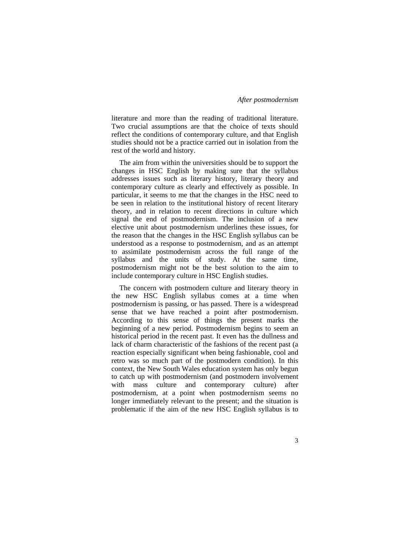literature and more than the reading of traditional literature. Two crucial assumptions are that the choice of texts should reflect the conditions of contemporary culture, and that English studies should not be a practice carried out in isolation from the rest of the world and history.

The aim from within the universities should be to support the changes in HSC English by making sure that the syllabus addresses issues such as literary history, literary theory and contemporary culture as clearly and effectively as possible. In particular, it seems to me that the changes in the HSC need to be seen in relation to the institutional history of recent literary theory, and in relation to recent directions in culture which signal the end of postmodernism. The inclusion of a new elective unit about postmodernism underlines these issues, for the reason that the changes in the HSC English syllabus can be understood as a response to postmodernism, and as an attempt to assimilate postmodernism across the full range of the syllabus and the units of study. At the same time, postmodernism might not be the best solution to the aim to include contemporary culture in HSC English studies.

The concern with postmodern culture and literary theory in the new HSC English syllabus comes at a time when postmodernism is passing, or has passed. There is a widespread sense that we have reached a point after postmodernism. According to this sense of things the present marks the beginning of a new period. Postmodernism begins to seem an historical period in the recent past. It even has the dullness and lack of charm characteristic of the fashions of the recent past (a reaction especially significant when being fashionable, cool and retro was so much part of the postmodern condition). In this context, the New South Wales education system has only begun to catch up with postmodernism (and postmodern involvement with mass culture and contemporary culture) after postmodernism, at a point when postmodernism seems no longer immediately relevant to the present; and the situation is problematic if the aim of the new HSC English syllabus is to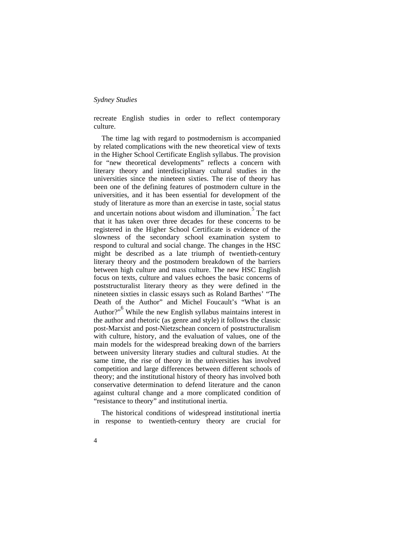recreate English studies in order to reflect contemporary culture.

The time lag with regard to postmodernism is accompanied by related complications with the new theoretical view of texts in the Higher School Certificate English syllabus. The provision for "new theoretical developments" reflects a concern with literary theory and interdisciplinary cultural studies in the universities since the nineteen sixties. The rise of theory has been one of the defining features of postmodern culture in the universities, and it has been essential for development of the study of literature as more than an exercise in taste, social status and uncertain notions about wisdom and illumination.<sup>5</sup> The fact that it has taken over three decades for these concerns to be registered in the Higher School Certificate is evidence of the slowness of the secondary school examination system to respond to cultural and social change. The changes in the HSC might be described as a late triumph of twentieth-century literary theory and the postmodern breakdown of the barriers between high culture and mass culture. The new HSC English focus on texts, culture and values echoes the basic concerns of poststructuralist literary theory as they were defined in the nineteen sixties in classic essays such as Roland Barthes' "The Death of the Author" and Michel Foucault's "What is an Author?"<sup>6</sup> While the new English syllabus maintains interest in the author and rhetoric (as genre and style) it follows the classic post-Marxist and post-Nietzschean concern of poststructuralism with culture, history, and the evaluation of values, one of the main models for the widespread breaking down of the barriers between university literary studies and cultural studies. At the same time, the rise of theory in the universities has involved competition and large differences between different schools of theory; and the institutional history of theory has involved both conservative determination to defend literature and the canon against cultural change and a more complicated condition of "resistance to theory" and institutional inertia.

The historical conditions of widespread institutional inertia in response to twentieth-century theory are crucial for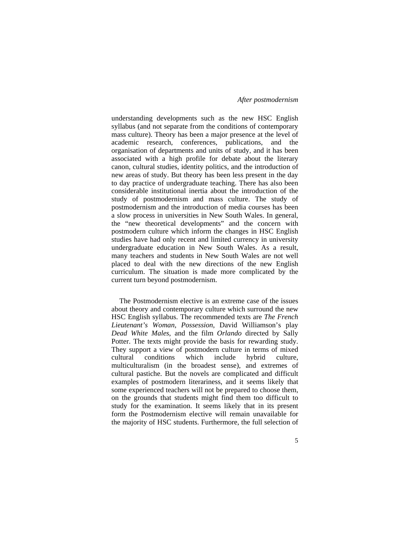understanding developments such as the new HSC English syllabus (and not separate from the conditions of contemporary mass culture). Theory has been a major presence at the level of academic research, conferences, publications, and the organisation of departments and units of study, and it has been associated with a high profile for debate about the literary canon, cultural studies, identity politics, and the introduction of new areas of study. But theory has been less present in the day to day practice of undergraduate teaching. There has also been considerable institutional inertia about the introduction of the study of postmodernism and mass culture. The study of postmodernism and the introduction of media courses has been a slow process in universities in New South Wales. In general, the "new theoretical developments" and the concern with postmodern culture which inform the changes in HSC English studies have had only recent and limited currency in university undergraduate education in New South Wales. As a result, many teachers and students in New South Wales are not well placed to deal with the new directions of the new English curriculum. The situation is made more complicated by the current turn beyond postmodernism.

The Postmodernism elective is an extreme case of the issues about theory and contemporary culture which surround the new HSC English syllabus. The recommended texts are *The French Lieutenant's Woman*, *Possession*, David Williamson's play *Dead White Males*, and the film *Orlando* directed by Sally Potter. The texts might provide the basis for rewarding study. They support a view of postmodern culture in terms of mixed cultural conditions which include hybrid culture, multiculturalism (in the broadest sense), and extremes of cultural pastiche. But the novels are complicated and difficult examples of postmodern literariness, and it seems likely that some experienced teachers will not be prepared to choose them, on the grounds that students might find them too difficult to study for the examination. It seems likely that in its present form the Postmodernism elective will remain unavailable for the majority of HSC students. Furthermore, the full selection of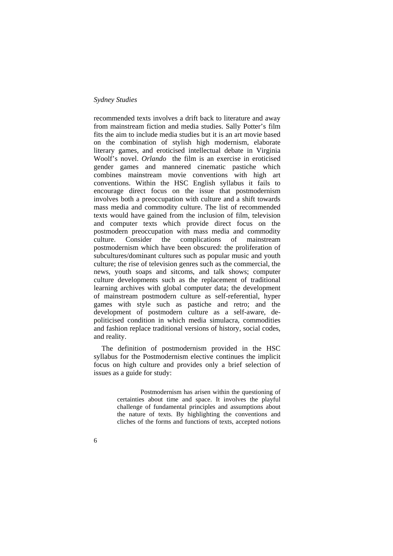recommended texts involves a drift back to literature and away from mainstream fiction and media studies. Sally Potter's film fits the aim to include media studies but it is an art movie based on the combination of stylish high modernism, elaborate literary games, and eroticised intellectual debate in Virginia Woolf's novel. *Orlando* the film is an exercise in eroticised gender games and mannered cinematic pastiche which combines mainstream movie conventions with high art conventions. Within the HSC English syllabus it fails to encourage direct focus on the issue that postmodernism involves both a preoccupation with culture and a shift towards mass media and commodity culture. The list of recommended texts would have gained from the inclusion of film, television and computer texts which provide direct focus on the postmodern preoccupation with mass media and commodity culture. Consider the complications of mainstream postmodernism which have been obscured: the proliferation of subcultures/dominant cultures such as popular music and youth culture; the rise of television genres such as the commercial, the news, youth soaps and sitcoms, and talk shows; computer culture developments such as the replacement of traditional learning archives with global computer data; the development of mainstream postmodern culture as self-referential, hyper games with style such as pastiche and retro; and the development of postmodern culture as a self-aware, depoliticised condition in which media simulacra, commodities and fashion replace traditional versions of history, social codes, and reality.

The definition of postmodernism provided in the HSC syllabus for the Postmodernism elective continues the implicit focus on high culture and provides only a brief selection of issues as a guide for study:

> Postmodernism has arisen within the questioning of certainties about time and space. It involves the playful challenge of fundamental principles and assumptions about the nature of texts. By highlighting the conventions and cliches of the forms and functions of texts, accepted notions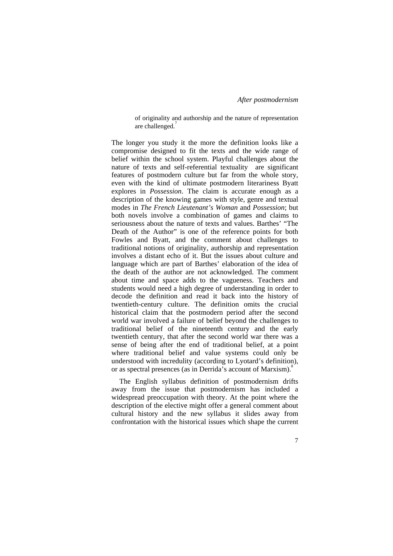of originality and authorship and the nature of representation are challenged.<sup>7</sup>

The longer you study it the more the definition looks like a compromise designed to fit the texts and the wide range of belief within the school system. Playful challenges about the nature of texts and self-referential textuality are significant features of postmodern culture but far from the whole story, even with the kind of ultimate postmodern literariness Byatt explores in *Possession*. The claim is accurate enough as a description of the knowing games with style, genre and textual modes in *The French Lieutenant's Woman* and *Possession*; but both novels involve a combination of games and claims to seriousness about the nature of texts and values. Barthes' "The Death of the Author" is one of the reference points for both Fowles and Byatt, and the comment about challenges to traditional notions of originality, authorship and representation involves a distant echo of it. But the issues about culture and language which are part of Barthes' elaboration of the idea of the death of the author are not acknowledged. The comment about time and space adds to the vagueness. Teachers and students would need a high degree of understanding in order to decode the definition and read it back into the history of twentieth-century culture. The definition omits the crucial historical claim that the postmodern period after the second world war involved a failure of belief beyond the challenges to traditional belief of the nineteenth century and the early twentieth century, that after the second world war there was a sense of being after the end of traditional belief, at a point where traditional belief and value systems could only be understood with incredulity (according to Lyotard's definition), or as spectral presences (as in Derrida's account of Marxism).<sup>8</sup>

The English syllabus definition of postmodernism drifts away from the issue that postmodernism has included a widespread preoccupation with theory. At the point where the description of the elective might offer a general comment about cultural history and the new syllabus it slides away from confrontation with the historical issues which shape the current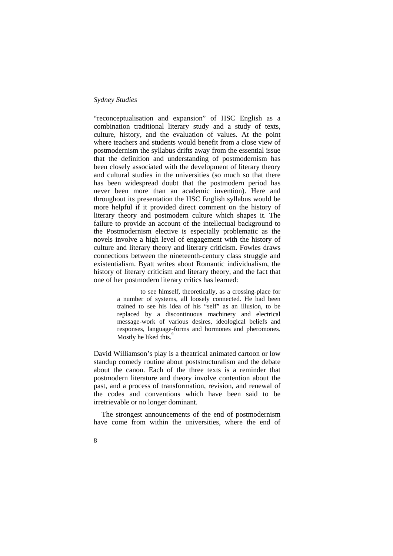### *Sydney Studies*

"reconceptualisation and expansion" of HSC English as a combination traditional literary study and a study of texts, culture, history, and the evaluation of values. At the point where teachers and students would benefit from a close view of postmodernism the syllabus drifts away from the essential issue that the definition and understanding of postmodernism has been closely associated with the development of literary theory and cultural studies in the universities (so much so that there has been widespread doubt that the postmodern period has never been more than an academic invention). Here and throughout its presentation the HSC English syllabus would be more helpful if it provided direct comment on the history of literary theory and postmodern culture which shapes it. The failure to provide an account of the intellectual background to the Postmodernism elective is especially problematic as the novels involve a high level of engagement with the history of culture and literary theory and literary criticism. Fowles draws connections between the nineteenth-century class struggle and existentialism. Byatt writes about Romantic individualism, the history of literary criticism and literary theory, and the fact that one of her postmodern literary critics has learned:

> to see himself, theoretically, as a crossing-place for a number of systems, all loosely connected. He had been trained to see his idea of his "self" as an illusion, to be replaced by a discontinuous machinery and electrical message-work of various desires, ideological beliefs and responses, language-forms and hormones and pheromones. Mostly he liked this.<sup>9</sup>

David Williamson's play is a theatrical animated cartoon or low standup comedy routine about poststructuralism and the debate about the canon. Each of the three texts is a reminder that postmodern literature and theory involve contention about the past, and a process of transformation, revision, and renewal of the codes and conventions which have been said to be irretrievable or no longer dominant.

The strongest announcements of the end of postmodernism have come from within the universities, where the end of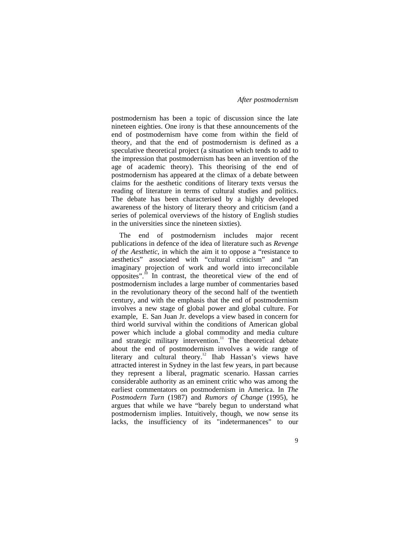postmodernism has been a topic of discussion since the late nineteen eighties. One irony is that these announcements of the end of postmodernism have come from within the field of theory, and that the end of postmodernism is defined as a speculative theoretical project (a situation which tends to add to the impression that postmodernism has been an invention of the age of academic theory). This theorising of the end of postmodernism has appeared at the climax of a debate between claims for the aesthetic conditions of literary texts versus the reading of literature in terms of cultural studies and politics. The debate has been characterised by a highly developed awareness of the history of literary theory and criticism (and a series of polemical overviews of the history of English studies in the universities since the nineteen sixties).

The end of postmodernism includes major recent publications in defence of the idea of literature such as *Revenge of the Aesthetic*, in which the aim it to oppose a "resistance to aesthetics" associated with "cultural criticism" and "an imaginary projection of work and world into irreconcilable opposites".10 In contrast, the theoretical view of the end of postmodernism includes a large number of commentaries based in the revolutionary theory of the second half of the twentieth century, and with the emphasis that the end of postmodernism involves a new stage of global power and global culture. For example, E. San Juan Jr. develops a view based in concern for third world survival within the conditions of American global power which include a global commodity and media culture and strategic military intervention.<sup>11</sup> The theoretical debate about the end of postmodernism involves a wide range of literary and cultural theory.<sup>12</sup> Ihab Hassan's views have attracted interest in Sydney in the last few years, in part because they represent a liberal, pragmatic scenario. Hassan carries considerable authority as an eminent critic who was among the earliest commentators on postmodernism in America. In *The Postmodern Turn* (1987) and *Rumors of Change* (1995), he argues that while we have "barely begun to understand what postmodernism implies. Intuitively, though, we now sense its lacks, the insufficiency of its "indetermanences" to our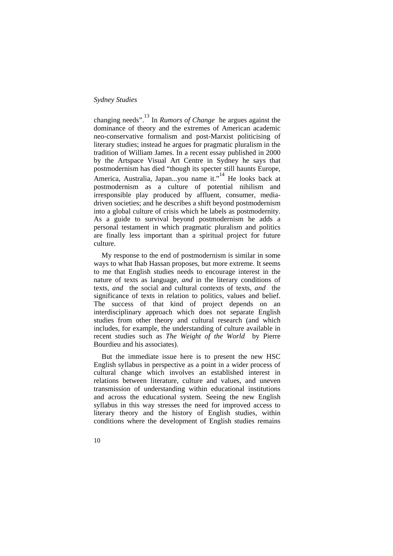changing needs".<sup>13</sup> In *Rumors of Change* he argues against the dominance of theory and the extremes of American academic neo-conservative formalism and post-Marxist politicising of literary studies; instead he argues for pragmatic pluralism in the tradition of William James. In a recent essay published in 2000 by the Artspace Visual Art Centre in Sydney he says that postmodernism has died "though its specter still haunts Europe, America, Australia, Japan...you name it."<sup>14</sup> He looks back at postmodernism as a culture of potential nihilism and irresponsible play produced by affluent, consumer, mediadriven societies; and he describes a shift beyond postmodernism into a global culture of crisis which he labels as postmodernity. As a guide to survival beyond postmodernism he adds a personal testament in which pragmatic pluralism and politics are finally less important than a spiritual project for future culture.

My response to the end of postmodernism is similar in some ways to what Ihab Hassan proposes, but more extreme. It seems to me that English studies needs to encourage interest in the nature of texts as language, *and* in the literary conditions of texts, *and* the social and cultural contexts of texts, *and* the significance of texts in relation to politics, values and belief. The success of that kind of project depends on an interdisciplinary approach which does not separate English studies from other theory and cultural research (and which includes, for example, the understanding of culture available in recent studies such as *The Weight of the World* by Pierre Bourdieu and his associates).

But the immediate issue here is to present the new HSC English syllabus in perspective as a point in a wider process of cultural change which involves an established interest in relations between literature, culture and values, and uneven transmission of understanding within educational institutions and across the educational system. Seeing the new English syllabus in this way stresses the need for improved access to literary theory and the history of English studies, within conditions where the development of English studies remains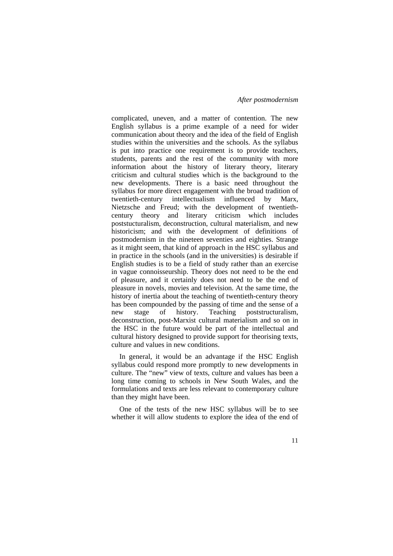complicated, uneven, and a matter of contention. The new English syllabus is a prime example of a need for wider communication about theory and the idea of the field of English studies within the universities and the schools. As the syllabus is put into practice one requirement is to provide teachers, students, parents and the rest of the community with more information about the history of literary theory, literary criticism and cultural studies which is the background to the new developments. There is a basic need throughout the syllabus for more direct engagement with the broad tradition of<br>twentieth-century intellectualism influenced by Marx. intellectualism influenced by Marx, Nietzsche and Freud; with the development of twentiethcentury theory and literary criticism which includes poststucturalism, deconstruction, cultural materialism, and new historicism; and with the development of definitions of postmodernism in the nineteen seventies and eighties. Strange as it might seem, that kind of approach in the HSC syllabus and in practice in the schools (and in the universities) is desirable if English studies is to be a field of study rather than an exercise in vague connoisseurship. Theory does not need to be the end of pleasure, and it certainly does not need to be the end of pleasure in novels, movies and television. At the same time, the history of inertia about the teaching of twentieth-century theory has been compounded by the passing of time and the sense of a<br>new stage of history. Teaching poststructuralism, new stage of history. Teaching poststructuralism, deconstruction, post-Marxist cultural materialism and so on in the HSC in the future would be part of the intellectual and cultural history designed to provide support for theorising texts, culture and values in new conditions.

In general, it would be an advantage if the HSC English syllabus could respond more promptly to new developments in culture. The "new" view of texts, culture and values has been a long time coming to schools in New South Wales, and the formulations and texts are less relevant to contemporary culture than they might have been.

One of the tests of the new HSC syllabus will be to see whether it will allow students to explore the idea of the end of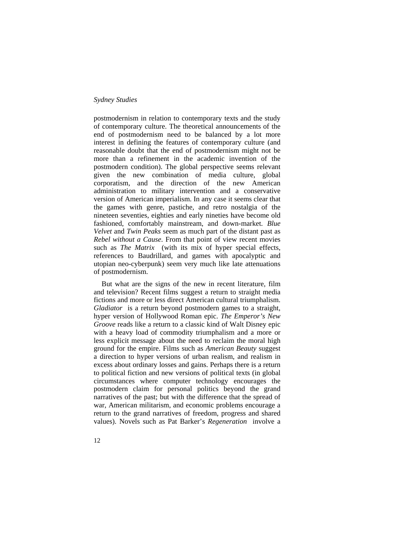postmodernism in relation to contemporary texts and the study of contemporary culture. The theoretical announcements of the end of postmodernism need to be balanced by a lot more interest in defining the features of contemporary culture (and reasonable doubt that the end of postmodernism might not be more than a refinement in the academic invention of the postmodern condition). The global perspective seems relevant given the new combination of media culture, global corporatism, and the direction of the new American administration to military intervention and a conservative version of American imperialism. In any case it seems clear that the games with genre, pastiche, and retro nostalgia of the nineteen seventies, eighties and early nineties have become old fashioned, comfortably mainstream, and down-market. *Blue Velvet* and *Twin Peaks* seem as much part of the distant past as *Rebel without a Cause*. From that point of view recent movies such as *The Matrix* (with its mix of hyper special effects, references to Baudrillard, and games with apocalyptic and utopian neo-cyberpunk) seem very much like late attenuations of postmodernism.

But what are the signs of the new in recent literature, film and television? Recent films suggest a return to straight media fictions and more or less direct American cultural triumphalism. *Gladiator* is a return beyond postmodern games to a straight, hyper version of Hollywood Roman epic. *The Emperor's New Groove* reads like a return to a classic kind of Walt Disney epic with a heavy load of commodity triumphalism and a more or less explicit message about the need to reclaim the moral high ground for the empire. Films such as *American Beauty* suggest a direction to hyper versions of urban realism, and realism in excess about ordinary losses and gains. Perhaps there is a return to political fiction and new versions of political texts (in global circumstances where computer technology encourages the postmodern claim for personal politics beyond the grand narratives of the past; but with the difference that the spread of war, American militarism, and economic problems encourage a return to the grand narratives of freedom, progress and shared values). Novels such as Pat Barker's *Regeneration* involve a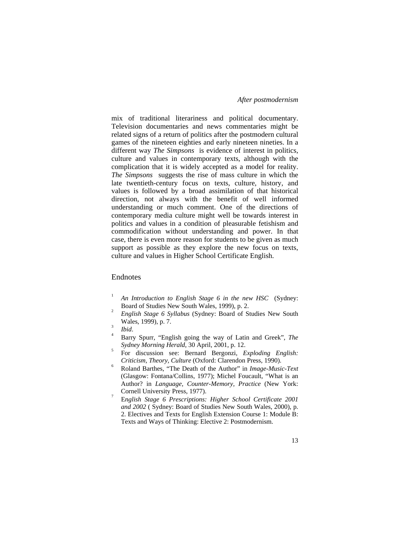mix of traditional literariness and political documentary. Television documentaries and news commentaries might be related signs of a return of politics after the postmodern cultural games of the nineteen eighties and early nineteen nineties. In a different way *The Simpsons* is evidence of interest in politics, culture and values in contemporary texts, although with the complication that it is widely accepted as a model for reality. *The Simpsons* suggests the rise of mass culture in which the late twentieth-century focus on texts, culture, history, and values is followed by a broad assimilation of that historical direction, not always with the benefit of well informed understanding or much comment. One of the directions of contemporary media culture might well be towards interest in politics and values in a condition of pleasurable fetishism and commodification without understanding and power. In that case, there is even more reason for students to be given as much support as possible as they explore the new focus on texts, culture and values in Higher School Certificate English.

## Endnotes

- 1 *An Introduction to English Stage 6 in the new HSC* (Sydney: Board of Studies New South Wales, 1999), p. 2. 2
- *English Stage 6 Syllabus* (Sydney: Board of Studies New South Wales, 1999), p. 7.

- Barry Spurr, "English going the way of Latin and Greek", *The Sydney Morning Herald*, 30 April, 2001, p. 12. 5
- For discussion see: Bernard Bergonzi, *Exploding English: Criticism, Theory, Culture* (Oxford: Clarendon Press, 1990). 6
- Roland Barthes, "The Death of the Author" in *Image-Music-Text* (Glasgow: Fontana/Collins, 1977); Michel Foucault, "What is an Author? in *Language, Counter-Memory, Practice* (New York: Cornell University Press, 1977).
- E*nglish Stage 6 Prescriptions: Higher School Certificate 2001 and 2002* ( Sydney: Board of Studies New South Wales, 2000), p. 2. Electives and Texts for English Extension Course 1: Module B: Texts and Ways of Thinking: Elective 2: Postmodernism.

 $\int_{4}^{3}$  *Ibid.*